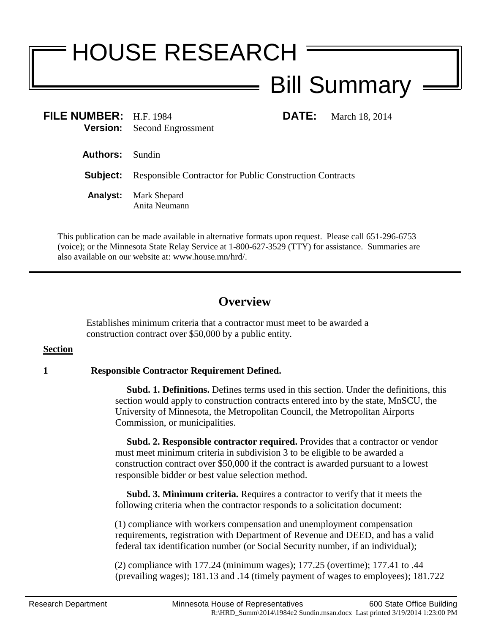# HOUSE RESEARCH Bill Summary

| FILE NUMBER: H.F. 1984 |                                    |
|------------------------|------------------------------------|
|                        | <b>Version:</b> Second Engrossment |

**FILE:** March 18, 2014

**Authors:** Sundin

**Subject:** Responsible Contractor for Public Construction Contracts

**Analyst:** Mark Shepard Anita Neumann

This publication can be made available in alternative formats upon request. Please call 651-296-6753 (voice); or the Minnesota State Relay Service at 1-800-627-3529 (TTY) for assistance. Summaries are also available on our website at: www.house.mn/hrd/.

## **Overview**

Establishes minimum criteria that a contractor must meet to be awarded a construction contract over \$50,000 by a public entity.

### **Section**

### **1 Responsible Contractor Requirement Defined.**

 **Subd. 1. Definitions.** Defines terms used in this section. Under the definitions, this section would apply to construction contracts entered into by the state, MnSCU, the University of Minnesota, the Metropolitan Council, the Metropolitan Airports Commission, or municipalities.

 **Subd. 2. Responsible contractor required.** Provides that a contractor or vendor must meet minimum criteria in subdivision 3 to be eligible to be awarded a construction contract over \$50,000 if the contract is awarded pursuant to a lowest responsible bidder or best value selection method.

 **Subd. 3. Minimum criteria.** Requires a contractor to verify that it meets the following criteria when the contractor responds to a solicitation document:

(1) compliance with workers compensation and unemployment compensation requirements, registration with Department of Revenue and DEED, and has a valid federal tax identification number (or Social Security number, if an individual);

(2) compliance with 177.24 (minimum wages); 177.25 (overtime); 177.41 to .44 (prevailing wages); 181.13 and .14 (timely payment of wages to employees); 181.722